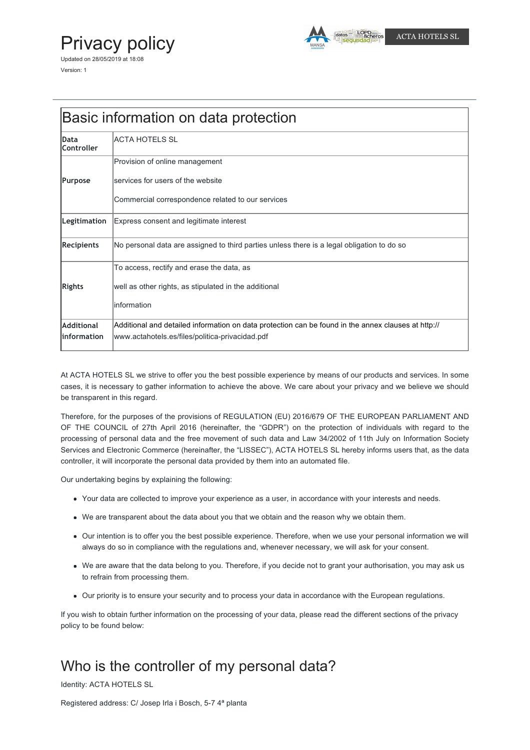# Privacy policy

Updated on 28/05/2019 at 18:08 Version: 1



| Basic information on data protection |                       |
|--------------------------------------|-----------------------|
| Data                                 | <b>ACTA HOTELS SL</b> |

| vala<br><b>Controller</b> | AVIA HUTLLU JL                                                                                      |
|---------------------------|-----------------------------------------------------------------------------------------------------|
|                           | Provision of online management                                                                      |
| Purpose                   | services for users of the website                                                                   |
|                           | Commercial correspondence related to our services                                                   |
| Legitimation              | Express consent and legitimate interest                                                             |
| Recipients                | No personal data are assigned to third parties unless there is a legal obligation to do so          |
|                           | To access, rectify and erase the data, as                                                           |
| <b>Rights</b>             | well as other rights, as stipulated in the additional                                               |
|                           | linformation                                                                                        |
| <b>Additional</b>         | Additional and detailed information on data protection can be found in the annex clauses at http:// |
| linformation              | www.actahotels.es/files/politica-privacidad.pdf                                                     |

At ACTA HOTELS SL we strive to offer you the best possible experience by means of our products and services. In some cases, it is necessary to gather information to achieve the above. We care about your privacy and we believe we should be transparent in this regard.

Therefore, for the purposes of the provisions of REGULATION (EU) 2016/679 OF THE EUROPEAN PARLIAMENT AND OF THE COUNCIL of 27th April 2016 (hereinafter, the "GDPR") on the protection of individuals with regard to the processing of personal data and the free movement of such data and Law 34/2002 of 11th July on Information Society Services and Electronic Commerce (hereinafter, the "LISSEC"), ACTA HOTELS SL hereby informs users that, as the data controller, it will incorporate the personal data provided by them into an automated file.

Our undertaking begins by explaining the following:

- Your data are collected to improve your experience as a user, in accordance with your interests and needs.
- We are transparent about the data about you that we obtain and the reason why we obtain them.
- Our intention is to offer you the best possible experience. Therefore, when we use your personal information we will always do so in compliance with the regulations and, whenever necessary, we will ask for your consent.
- We are aware that the data belong to you. Therefore, if you decide not to grant your authorisation, you may ask us to refrain from processing them.
- Our priority is to ensure your security and to process your data in accordance with the European regulations.

If you wish to obtain further information on the processing of your data, please read the different sections of the privacy policy to be found below:

# Who is the controller of my personal data?

Identity: ACTA HOTELS SL

Registered address: C/ Josep Irla i Bosch, 5-7 4ª planta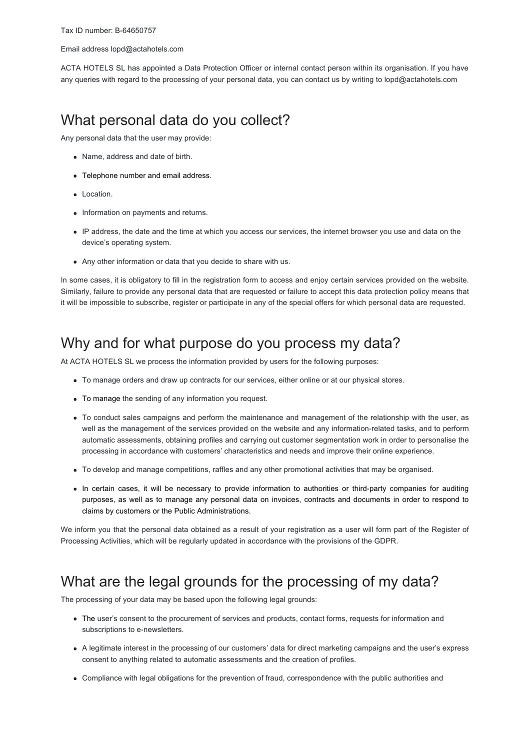#### Email address lopd@actahotels.com

ACTA HOTELS SL has appointed a Data Protection Officer or internal contact person within its organisation. If you have any queries with regard to the processing of your personal data, you can contact us by writing to lopd@actahotels.com

#### What personal data do you collect?

Any personal data that the user may provide:

- Name, address and date of birth.
- Telephone number and email address.
- Location.
- Information on payments and returns.
- IP address, the date and the time at which you access our services, the internet browser you use and data on the device's operating system.
- Any other information or data that you decide to share with us.

In some cases, it is obligatory to fill in the registration form to access and enjoy certain services provided on the website. Similarly, failure to provide any personal data that are requested or failure to accept this data protection policy means that it will be impossible to subscribe, register or participate in any of the special offers for which personal data are requested.

#### Why and for what purpose do you process my data?

At ACTA HOTELS SL we process the information provided by users for the following purposes:

- To manage orders and draw up contracts for our services, either online or at our physical stores.
- To manage the sending of any information you request.
- To conduct sales campaigns and perform the maintenance and management of the relationship with the user, as well as the management of the services provided on the website and any information-related tasks, and to perform automatic assessments, obtaining profiles and carrying out customer segmentation work in order to personalise the processing in accordance with customers' characteristics and needs and improve their online experience.
- To develop and manage competitions, raffles and any other promotional activities that may be organised.
- In certain cases, it will be necessary to provide information to authorities or third-party companies for auditing purposes, as well as to manage any personal data on invoices, contracts and documents in order to respond to claims by customers or the Public Administrations.

We inform you that the personal data obtained as a result of your registration as a user will form part of the Register of Processing Activities, which will be regularly updated in accordance with the provisions of the GDPR.

#### What are the legal grounds for the processing of my data?

The processing of your data may be based upon the following legal grounds:

- The user's consent to the procurement of services and products, contact forms, requests for information and subscriptions to e-newsletters.
- A legitimate interest in the processing of our customers' data for direct marketing campaigns and the user's express consent to anything related to automatic assessments and the creation of profiles.
- Compliance with legal obligations for the prevention of fraud, correspondence with the public authorities and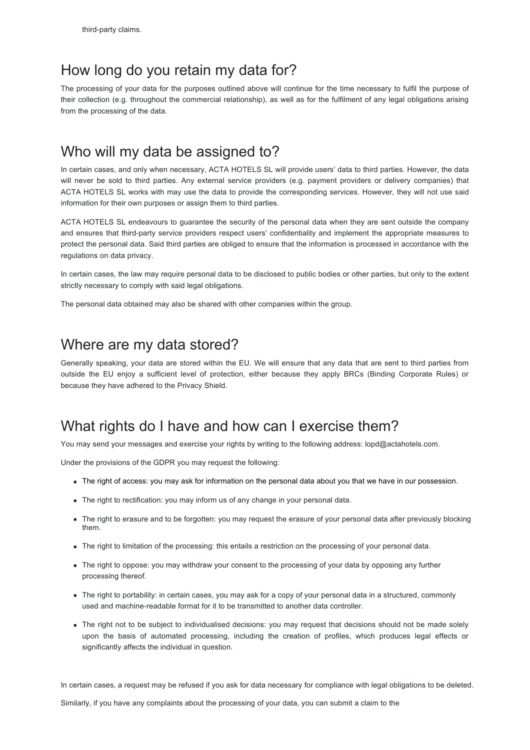#### How long do you retain my data for?

The processing of your data for the purposes outlined above will continue for the time necessary to fulfil the purpose of their collection (e.g. throughout the commercial relationship), as well as for the fulfilment of any legal obligations arising from the processing of the data.

### Who will my data be assigned to?

In certain cases, and only when necessary, ACTA HOTELS SL will provide users' data to third parties. However, the data will never be sold to third parties. Any external service providers (e.g. payment providers or delivery companies) that ACTA HOTELS SL works with may use the data to provide the corresponding services. However, they will not use said information for their own purposes or assign them to third parties.

ACTA HOTELS SL endeavours to guarantee the security of the personal data when they are sent outside the company and ensures that third-party service providers respect users' confidentiality and implement the appropriate measures to protect the personal data. Said third parties are obliged to ensure that the information is processed in accordance with the regulations on data privacy.

In certain cases, the law may require personal data to be disclosed to public bodies or other parties, but only to the extent strictly necessary to comply with said legal obligations.

The personal data obtained may also be shared with other companies within the group.

#### Where are my data stored?

Generally speaking, your data are stored within the EU. We will ensure that any data that are sent to third parties from outside the EU enjoy a sufficient level of protection, either because they apply BRCs (Binding Corporate Rules) or because they have adhered to the Privacy Shield.

### What rights do I have and how can I exercise them?

You may send your messages and exercise your rights by writing to the following address: lopd@actahotels.com.

Under the provisions of the GDPR you may request the following:

- The right of access: you may ask for information on the personal data about you that we have in our possession.
- The right to rectification: you may inform us of any change in your personal data.
- The right to erasure and to be forgotten: you may request the erasure of your personal data after previously blocking them.
- The right to limitation of the processing: this entails a restriction on the processing of your personal data.
- The right to oppose: you may withdraw your consent to the processing of your data by opposing any further processing thereof.
- The right to portability: in certain cases, you may ask for a copy of your personal data in a structured, commonly used and machine-readable format for it to be transmitted to another data controller.
- The right not to be subject to individualised decisions: you may request that decisions should not be made solely upon the basis of automated processing, including the creation of profiles, which produces legal effects or significantly affects the individual in question.

In certain cases, a request may be refused if you ask for data necessary for compliance with legal obligations to be deleted.

Similarly, if you have any complaints about the processing of your data, you can submit a claim to the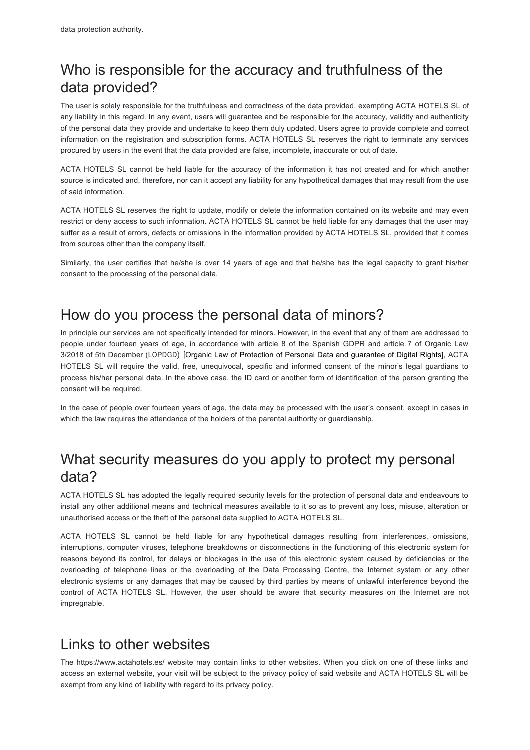# Who is responsible for the accuracy and truthfulness of the data provided?

The user is solely responsible for the truthfulness and correctness of the data provided, exempting ACTA HOTELS SL of any liability in this regard. In any event, users will guarantee and be responsible for the accuracy, validity and authenticity of the personal data they provide and undertake to keep them duly updated. Users agree to provide complete and correct information on the registration and subscription forms. ACTA HOTELS SL reserves the right to terminate any services procured by users in the event that the data provided are false, incomplete, inaccurate or out of date.

ACTA HOTELS SL cannot be held liable for the accuracy of the information it has not created and for which another source is indicated and, therefore, nor can it accept any liability for any hypothetical damages that may result from the use of said information.

ACTA HOTELS SL reserves the right to update, modify or delete the information contained on its website and may even restrict or deny access to such information. ACTA HOTELS SL cannot be held liable for any damages that the user may suffer as a result of errors, defects or omissions in the information provided by ACTA HOTELS SL, provided that it comes from sources other than the company itself.

Similarly, the user certifies that he/she is over 14 years of age and that he/she has the legal capacity to grant his/her consent to the processing of the personal data.

### How do you process the personal data of minors?

In principle our services are not specifically intended for minors. However, in the event that any of them are addressed to people under fourteen years of age, in accordance with article 8 of the Spanish GDPR and article 7 of Organic Law 3/2018 of 5th December (LOPDGD) [Organic Law of Protection of Personal Data and guarantee of Digital Rights], ACTA HOTELS SL will require the valid, free, unequivocal, specific and informed consent of the minor's legal guardians to process his/her personal data. In the above case, the ID card or another form of identification of the person granting the consent will be required.

In the case of people over fourteen years of age, the data may be processed with the user's consent, except in cases in which the law requires the attendance of the holders of the parental authority or guardianship.

## What security measures do you apply to protect my personal data?

ACTA HOTELS SL has adopted the legally required security levels for the protection of personal data and endeavours to install any other additional means and technical measures available to it so as to prevent any loss, misuse, alteration or unauthorised access or the theft of the personal data supplied to ACTA HOTELS SL.

ACTA HOTELS SL cannot be held liable for any hypothetical damages resulting from interferences, omissions, interruptions, computer viruses, telephone breakdowns or disconnections in the functioning of this electronic system for reasons beyond its control, for delays or blockages in the use of this electronic system caused by deficiencies or the overloading of telephone lines or the overloading of the Data Processing Centre, the Internet system or any other electronic systems or any damages that may be caused by third parties by means of unlawful interference beyond the control of ACTA HOTELS SL. However, the user should be aware that security measures on the Internet are not impregnable.

### Links to other websites

The https://www.actahotels.es/ website may contain links to other websites. When you click on one of these links and access an external website, your visit will be subject to the privacy policy of said website and ACTA HOTELS SL will be exempt from any kind of liability with regard to its privacy policy.